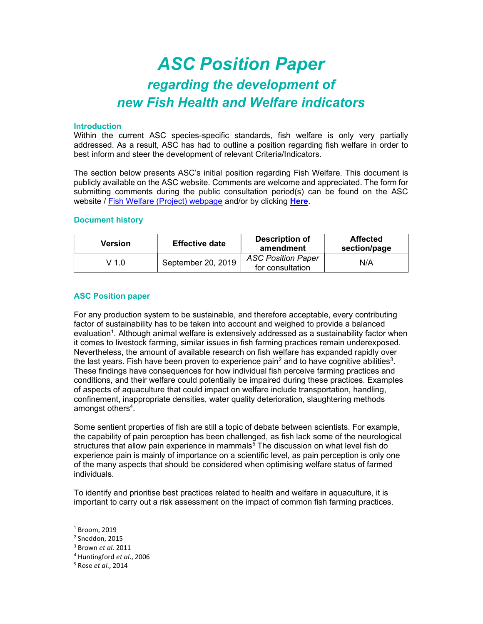# ASC Position Paper regarding the development of new Fish Health and Welfare indicators

### Introduction

Within the current ASC species-specific standards, fish welfare is only very partially addressed. As a result, ASC has had to outline a position regarding fish welfare in order to best inform and steer the development of relevant Criteria/Indicators.

The section below presents ASC's initial position regarding Fish Welfare. This document is publicly available on the ASC website. Comments are welcome and appreciated. The form for submitting comments during the public consultation period(s) can be found on the ASC website / Fish Welfare (Project) webpage and/or by clicking Here.

## Document history

| Version | <b>Effective date</b> | Description of<br>amendment                   | <b>Affected</b><br>section/page |
|---------|-----------------------|-----------------------------------------------|---------------------------------|
| $V$ 1.0 | September 20, 2019    | <b>ASC Position Paper</b><br>for consultation | N/A                             |

### ASC Position paper

For any production system to be sustainable, and therefore acceptable, every contributing factor of sustainability has to be taken into account and weighed to provide a balanced evaluation<sup>1</sup>. Although animal welfare is extensively addressed as a sustainability factor when it comes to livestock farming, similar issues in fish farming practices remain underexposed. Nevertheless, the amount of available research on fish welfare has expanded rapidly over the last years. Fish have been proven to experience pain $^{\rm 2}$  and to have cognitive abilities $^{\rm 3}$ . These findings have consequences for how individual fish perceive farming practices and conditions, and their welfare could potentially be impaired during these practices. Examples of aspects of aquaculture that could impact on welfare include transportation, handling, confinement, inappropriate densities, water quality deterioration, slaughtering methods amongst others<sup>4</sup>.

Some sentient properties of fish are still a topic of debate between scientists. For example, the capability of pain perception has been challenged, as fish lack some of the neurological structures that allow pain experience in mammals<sup>5</sup> The discussion on what level fish do experience pain is mainly of importance on a scientific level, as pain perception is only one of the many aspects that should be considered when optimising welfare status of farmed individuals.

To identify and prioritise best practices related to health and welfare in aquaculture, it is important to carry out a risk assessment on the impact of common fish farming practices.

 $^1$  Broom, 2019

<sup>2</sup> Sneddon, 2015

 $^3$  Brown *et al.* 2011

<sup>&</sup>lt;sup>4</sup> Huntingford et al., 2006

<sup>&</sup>lt;sup>5</sup> Rose et al., 2014